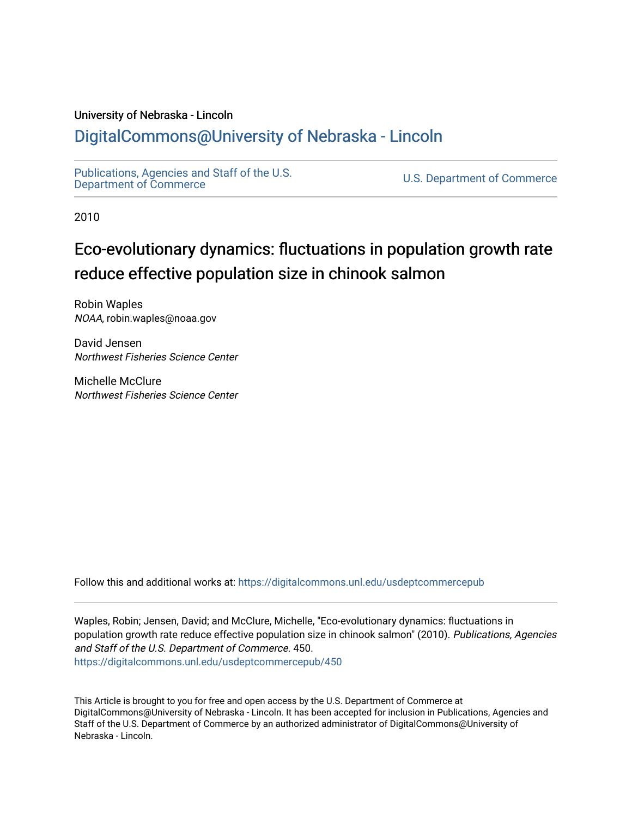## University of Nebraska - Lincoln

## [DigitalCommons@University of Nebraska - Lincoln](https://digitalcommons.unl.edu/)

[Publications, Agencies and Staff of the U.S.](https://digitalcommons.unl.edu/usdeptcommercepub)

U.S. [Department of Commerce](https://digitalcommons.unl.edu/usdeptcommercepub)

2010

# Eco-evolutionary dynamics: fluctuations in population growth rate reduce effective population size in chinook salmon

Robin Waples NOAA, robin.waples@noaa.gov

David Jensen Northwest Fisheries Science Center

Michelle McClure Northwest Fisheries Science Center

Follow this and additional works at: [https://digitalcommons.unl.edu/usdeptcommercepub](https://digitalcommons.unl.edu/usdeptcommercepub?utm_source=digitalcommons.unl.edu%2Fusdeptcommercepub%2F450&utm_medium=PDF&utm_campaign=PDFCoverPages)

Waples, Robin; Jensen, David; and McClure, Michelle, "Eco-evolutionary dynamics: fluctuations in population growth rate reduce effective population size in chinook salmon" (2010). Publications, Agencies and Staff of the U.S. Department of Commerce. 450. [https://digitalcommons.unl.edu/usdeptcommercepub/450](https://digitalcommons.unl.edu/usdeptcommercepub/450?utm_source=digitalcommons.unl.edu%2Fusdeptcommercepub%2F450&utm_medium=PDF&utm_campaign=PDFCoverPages) 

This Article is brought to you for free and open access by the U.S. Department of Commerce at DigitalCommons@University of Nebraska - Lincoln. It has been accepted for inclusion in Publications, Agencies and Staff of the U.S. Department of Commerce by an authorized administrator of DigitalCommons@University of Nebraska - Lincoln.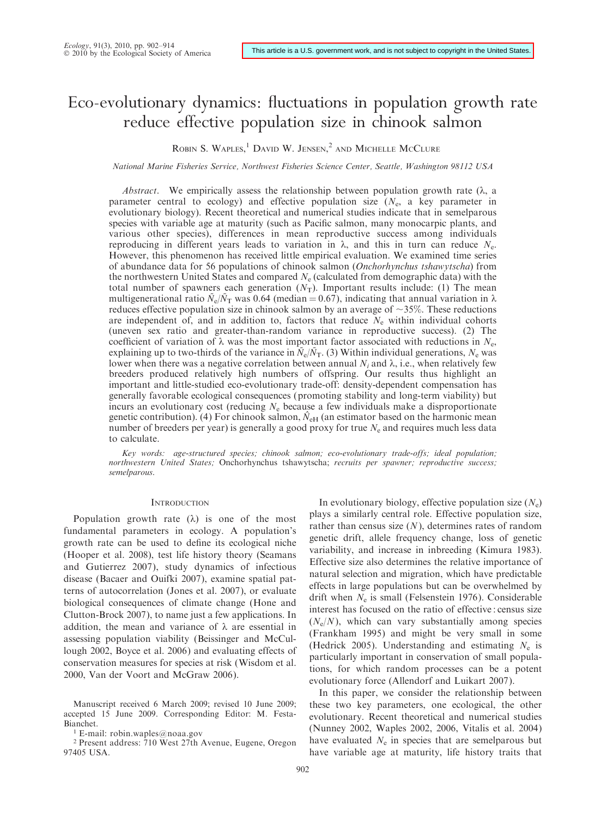## Eco-evolutionary dynamics: fluctuations in population growth rate reduce effective population size in chinook salmon

ROBIN S. WAPLES,<sup>1</sup> DAVID W. JENSEN,<sup>2</sup> AND MICHELLE MCCLURE

National Marine Fisheries Service, Northwest Fisheries Science Center, Seattle, Washington 98112 USA

Abstract. We empirically assess the relationship between population growth rate  $(\lambda, a)$ parameter central to ecology) and effective population size  $(N_e, a \text{ key parameter in})$ evolutionary biology). Recent theoretical and numerical studies indicate that in semelparous species with variable age at maturity (such as Pacific salmon, many monocarpic plants, and various other species), differences in mean reproductive success among individuals reproducing in different years leads to variation in  $\lambda$ , and this in turn can reduce  $N_{\rm e}$ . However, this phenomenon has received little empirical evaluation. We examined time series of abundance data for 56 populations of chinook salmon (Onchorhynchus tshawytscha) from the northwestern United States and compared  $N<sub>e</sub>$  (calculated from demographic data) with the total number of spawners each generation  $(N_T)$ . Important results include: (1) The mean multigenerational ratio  $\bar{N}_{\rm e}/\bar{N}_{\rm T}$  was 0.64 (median = 0.67), indicating that annual variation in  $\lambda$ reduces effective population size in chinook salmon by an average of  $\sim$ 35%. These reductions are independent of, and in addition to, factors that reduce  $N_e$  within individual cohorts (uneven sex ratio and greater-than-random variance in reproductive success). (2) The coefficient of variation of  $\lambda$  was the most important factor associated with reductions in  $N_e$ , explaining up to two-thirds of the variance in  $\tilde{N}_e/\tilde{N}_T$ . (3) Within individual generations,  $N_e$  was lower when there was a negative correlation between annual  $N_i$  and  $\lambda$ , i.e., when relatively few breeders produced relatively high numbers of offspring. Our results thus highlight an important and little-studied eco-evolutionary trade-off: density-dependent compensation has generally favorable ecological consequences (promoting stability and long-term viability) but incurs an evolutionary cost (reducing  $N_e$  because a few individuals make a disproportionate genetic contribution). (4) For chinook salmon,  $\hat{N}_{\text{eH}}$  (an estimator based on the harmonic mean number of breeders per year) is generally a good proxy for true  $N<sub>e</sub>$  and requires much less data to calculate.

Key words: age-structured species; chinook salmon; eco-evolutionary trade-offs; ideal population; northwestern United States; Onchorhynchus tshawytscha; recruits per spawner; reproductive success; semelparous.

## **INTRODUCTION**

Population growth rate  $(\lambda)$  is one of the most fundamental parameters in ecology. A population's growth rate can be used to define its ecological niche (Hooper et al. 2008), test life history theory (Seamans and Gutierrez 2007), study dynamics of infectious disease (Bacaer and Ouifki 2007), examine spatial patterns of autocorrelation (Jones et al. 2007), or evaluate biological consequences of climate change (Hone and Clutton-Brock 2007), to name just a few applications. In addition, the mean and variance of  $\lambda$  are essential in assessing population viability (Beissinger and McCullough 2002, Boyce et al. 2006) and evaluating effects of conservation measures for species at risk (Wisdom et al. 2000, Van der Voort and McGraw 2006).

<sup>2</sup> Present address: 710 West 27th Avenue, Eugene, Oregon 97405 USA.

In evolutionary biology, effective population size  $(N_e)$ plays a similarly central role. Effective population size, rather than census size  $(N)$ , determines rates of random genetic drift, allele frequency change, loss of genetic variability, and increase in inbreeding (Kimura 1983). Effective size also determines the relative importance of natural selection and migration, which have predictable effects in large populations but can be overwhelmed by drift when  $N_e$  is small (Felsenstein 1976). Considerable interest has focused on the ratio of effective : census size  $(N_e/N)$ , which can vary substantially among species (Frankham 1995) and might be very small in some (Hedrick 2005). Understanding and estimating  $N_e$  is particularly important in conservation of small populations, for which random processes can be a potent evolutionary force (Allendorf and Luikart 2007).

In this paper, we consider the relationship between these two key parameters, one ecological, the other evolutionary. Recent theoretical and numerical studies (Nunney 2002, Waples 2002, 2006, Vitalis et al. 2004) have evaluated  $N_e$  in species that are semelparous but have variable age at maturity, life history traits that

Manuscript received 6 March 2009; revised 10 June 2009; accepted 15 June 2009. Corresponding Editor: M. Festa-Bianchet.

<sup>1</sup> E-mail: robin.waples@noaa.gov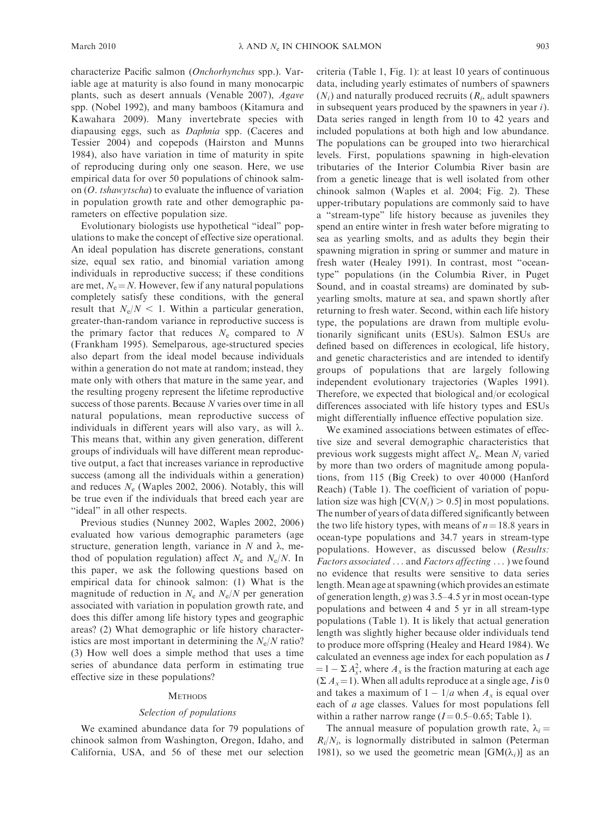characterize Pacific salmon (Onchorhynchus spp.). Variable age at maturity is also found in many monocarpic plants, such as desert annuals (Venable 2007), Agave spp. (Nobel 1992), and many bamboos (Kitamura and Kawahara 2009). Many invertebrate species with diapausing eggs, such as Daphnia spp. (Caceres and Tessier 2004) and copepods (Hairston and Munns 1984), also have variation in time of maturity in spite of reproducing during only one season. Here, we use empirical data for over 50 populations of chinook salmon (O. tshawytscha) to evaluate the influence of variation in population growth rate and other demographic parameters on effective population size.

Evolutionary biologists use hypothetical ''ideal'' populations to make the concept of effective size operational. An ideal population has discrete generations, constant size, equal sex ratio, and binomial variation among individuals in reproductive success; if these conditions are met,  $N_e = N$ . However, few if any natural populations completely satisfy these conditions, with the general result that  $N_e/N < 1$ . Within a particular generation, greater-than-random variance in reproductive success is the primary factor that reduces  $N_e$  compared to N (Frankham 1995). Semelparous, age-structured species also depart from the ideal model because individuals within a generation do not mate at random; instead, they mate only with others that mature in the same year, and the resulting progeny represent the lifetime reproductive success of those parents. Because N varies over time in all natural populations, mean reproductive success of individuals in different years will also vary, as will  $\lambda$ . This means that, within any given generation, different groups of individuals will have different mean reproductive output, a fact that increases variance in reproductive success (among all the individuals within a generation) and reduces  $N_e$  (Waples 2002, 2006). Notably, this will be true even if the individuals that breed each year are "ideal" in all other respects.

Previous studies (Nunney 2002, Waples 2002, 2006) evaluated how various demographic parameters (age structure, generation length, variance in  $N$  and  $\lambda$ , method of population regulation) affect  $N_e$  and  $N_e/N$ . In this paper, we ask the following questions based on empirical data for chinook salmon: (1) What is the magnitude of reduction in  $N_e$  and  $N_e/N$  per generation associated with variation in population growth rate, and does this differ among life history types and geographic areas? (2) What demographic or life history characteristics are most important in determining the  $N_e/N$  ratio? (3) How well does a simple method that uses a time series of abundance data perform in estimating true effective size in these populations?

#### **METHODS**

### Selection of populations

We examined abundance data for 79 populations of chinook salmon from Washington, Oregon, Idaho, and California, USA, and 56 of these met our selection

criteria (Table 1, Fig. 1): at least 10 years of continuous data, including yearly estimates of numbers of spawners  $(N<sub>i</sub>)$  and naturally produced recruits  $(R<sub>i</sub>,$  adult spawners in subsequent years produced by the spawners in year i). Data series ranged in length from 10 to 42 years and included populations at both high and low abundance. The populations can be grouped into two hierarchical levels. First, populations spawning in high-elevation tributaries of the Interior Columbia River basin are from a genetic lineage that is well isolated from other chinook salmon (Waples et al. 2004; Fig. 2). These upper-tributary populations are commonly said to have a ''stream-type'' life history because as juveniles they spend an entire winter in fresh water before migrating to sea as yearling smolts, and as adults they begin their spawning migration in spring or summer and mature in fresh water (Healey 1991). In contrast, most ''oceantype'' populations (in the Columbia River, in Puget Sound, and in coastal streams) are dominated by subyearling smolts, mature at sea, and spawn shortly after returning to fresh water. Second, within each life history type, the populations are drawn from multiple evolutionarily significant units (ESUs). Salmon ESUs are defined based on differences in ecological, life history, and genetic characteristics and are intended to identify groups of populations that are largely following independent evolutionary trajectories (Waples 1991). Therefore, we expected that biological and/or ecological differences associated with life history types and ESUs might differentially influence effective population size.

We examined associations between estimates of effective size and several demographic characteristics that previous work suggests might affect  $N_e$ . Mean  $N_i$  varied by more than two orders of magnitude among populations, from 115 (Big Creek) to over 40 000 (Hanford Reach) (Table 1). The coefficient of variation of population size was high  $[CV(N<sub>i</sub>) > 0.5]$  in most populations. The number of years of data differed significantly between the two life history types, with means of  $n = 18.8$  years in ocean-type populations and 34.7 years in stream-type populations. However, as discussed below (Results: Factors associated ... and Factors affecting ... ) we found no evidence that results were sensitive to data series length.Mean age at spawning (which provides an estimate of generation length, g) was 3.5–4.5 yr in most ocean-type populations and between 4 and 5 yr in all stream-type populations (Table 1). It is likely that actual generation length was slightly higher because older individuals tend to produce more offspring (Healey and Heard 1984). We calculated an evenness age index for each population as I  $= 1 - \sum A_x^2$ , where  $A_x$  is the fraction maturing at each age  $(\Sigma A_x=1)$ . When all adults reproduce at a single age, *I* is 0 and takes a maximum of  $1 - 1/a$  when  $A_x$  is equal over each of a age classes. Values for most populations fell within a rather narrow range  $(I=0.5-0.65;$  Table 1).

The annual measure of population growth rate,  $\lambda_i =$  $R_i/N_i$ , is lognormally distributed in salmon (Peterman 1981), so we used the geometric mean [GM( $\lambda_i$ )] as an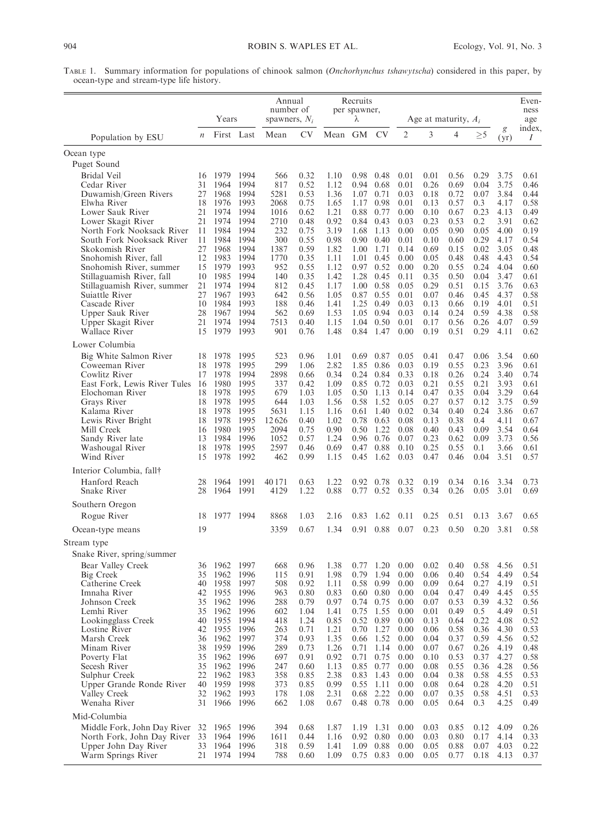TABLE 1. Summary information for populations of chinook salmon (Onchorhynchus tshawytscha) considered in this paper, by ocean-type and stream-type life history.

|                                                      |                  | Years                     |              | Annual<br>number of<br>spawners, $N_i$ |              |                                                 | Recruits<br>per spawner,<br>λ |                     | Age at maturity, $A_i$ |              |              |              | Even-<br>ness<br>age |              |
|------------------------------------------------------|------------------|---------------------------|--------------|----------------------------------------|--------------|-------------------------------------------------|-------------------------------|---------------------|------------------------|--------------|--------------|--------------|----------------------|--------------|
| Population by ESU                                    | $\boldsymbol{n}$ | First Last                |              | Mean                                   | CV           | Mean GM                                         |                               | <b>CV</b>           | $\overline{2}$         | 3            | 4            | $>\!5$       | g<br>(yr)            | index,<br>Ι  |
| Ocean type                                           |                  |                           |              |                                        |              |                                                 |                               |                     |                        |              |              |              |                      |              |
| Puget Sound                                          |                  |                           |              |                                        |              |                                                 |                               |                     |                        |              |              |              |                      |              |
| Bridal Veil<br>Cedar River                           | 16<br>31         | 1979<br>1964              | 1994<br>1994 | 566<br>817                             | 0.32<br>0.52 | 1.10<br>1.12                                    | 0.98<br>0.94                  | 0.48<br>0.68        | 0.01<br>0.01           | 0.01<br>0.26 | 0.56<br>0.69 | 0.29<br>0.04 | 3.75<br>3.75         | 0.61<br>0.46 |
| Duwamish/Green Rivers                                | 27               | 1968                      | 1994         | 5281                                   | 0.53         | 1.36                                            | 1.07                          | 0.71                | 0.03                   | 0.18         | 0.72         | 0.07         | 3.84                 | 0.44         |
| Elwha River                                          | 18               | 1976                      | 1993         | 2068                                   | 0.75         | 1.65                                            | 1.17                          | 0.98                | 0.01                   | 0.13         | 0.57         | 0.3          | 4.17                 | 0.58         |
| Lower Sauk River                                     | 21               | 1974                      | 1994         | 1016                                   | 0.62         | 1.21                                            | 0.88                          | 0.77                | 0.00                   | 0.10         | 0.67         | 0.23         | 4.13                 | 0.49         |
| Lower Skagit River<br>North Fork Nooksack River      | 21<br>11         | 1974<br>1984              | 1994<br>1994 | 2710<br>232                            | 0.48<br>0.75 | 0.92<br>3.19                                    | 0.84<br>1.68                  | 0.43<br>1.13        | 0.03<br>0.00           | 0.23<br>0.05 | 0.53<br>0.90 | 0.2<br>0.05  | 3.91<br>4.00         | 0.62<br>0.19 |
| South Fork Nooksack River                            | 11               | 1984                      | 1994         | 300                                    | 0.55         | 0.98                                            | 0.90                          | 0.40                | 0.01                   | 0.10         | 0.60         | 0.29         | 4.17                 | 0.54         |
| Skokomish River                                      | 27               | 1968                      | 1994         | 1387                                   | 0.59         | 1.82                                            | 1.00                          | 1.71                | 0.14                   | 0.69         | 0.15         | 0.02         | 3.05                 | 0.48         |
| Snohomish River, fall                                | 12<br>15         | 1983                      | 1994<br>1993 | 1770<br>952                            | 0.35<br>0.55 | 1.11                                            | 1.01                          | 0.45<br>0.52        | 0.00                   | 0.05         | 0.48         | 0.48         | 4.43<br>4.04         | 0.54         |
| Snohomish River, summer<br>Stillaguamish River, fall | 10               | 1979<br>1985              | 1994         | 140                                    | 0.35         | 1.12<br>1.42                                    | 0.97<br>1.28                  | 0.45                | 0.00<br>0.11           | 0.20<br>0.35 | 0.55<br>0.50 | 0.24<br>0.04 | 3.47                 | 0.60<br>0.61 |
| Stillaguamish River, summer                          | 21               | 1974                      | 1994         | 812                                    | 0.45         | 1.17                                            | 1.00                          | 0.58                | 0.05                   | 0.29         | 0.51         | 0.15         | 3.76                 | 0.63         |
| Suiattle River                                       | 27               | 1967                      | 1993         | 642                                    | 0.56         | 1.05                                            | 0.87                          | 0.55                | 0.01                   | 0.07         | 0.46         | 0.45         | 4.37                 | 0.58         |
| Cascade River                                        | 10<br>28         | 1984<br>1967              | 1993<br>1994 | 188<br>562                             | 0.46<br>0.69 | 1.41<br>1.53                                    | 1.25<br>1.05                  | 0.49<br>0.94        | 0.03<br>0.03           | 0.13<br>0.14 | 0.66<br>0.24 | 0.19<br>0.59 | 4.01<br>4.38         | 0.51<br>0.58 |
| Upper Sauk River<br>Upper Skagit River               | 21               | 1974                      | 1994         | 7513                                   | 0.40         | 1.15                                            | 1.04                          | 0.50                | 0.01                   | 0.17         | 0.56         | 0.26         | 4.07                 | 0.59         |
| Wallace River                                        | 15               | 1979 1993                 |              | 901                                    | 0.76         | 1.48                                            | 0.84                          | 1.47                | 0.00                   | 0.19         | 0.51         | 0.29         | 4.11                 | 0.62         |
| Lower Columbia                                       |                  |                           |              |                                        |              |                                                 |                               |                     |                        |              |              |              |                      |              |
| Big White Salmon River                               | 18               | 1978                      | 1995         | 523                                    | 0.96         | 1.01                                            | 0.69                          | 0.87                | 0.05                   | 0.41         | 0.47         | 0.06         | 3.54                 | 0.60         |
| Coweeman River<br>Cowlitz River                      | 18<br>17         | 1978<br>1978              | 1995<br>1994 | 299<br>2898                            | 1.06<br>0.66 | 2.82<br>0.34                                    | 1.85<br>0.24                  | 0.86<br>0.84        | 0.03<br>0.33           | 0.19<br>0.18 | 0.55<br>0.26 | 0.23<br>0.24 | 3.96<br>3.40         | 0.61<br>0.74 |
| East Fork, Lewis River Tules                         | - 16             | 1980                      | 1995         | 337                                    | 0.42         | 1.09                                            | 0.85                          | 0.72                | 0.03                   | 0.21         | 0.55         | 0.21         | 3.93                 | 0.61         |
| Elochoman River                                      | 18               | 1978                      | 1995         | 679                                    | 1.03         | 1.05                                            | 0.50                          | 1.13                | 0.14                   | 0.47         | 0.35         | 0.04         | 3.29                 | 0.64         |
| Grays River                                          | 18               | 1978                      | 1995         | 644                                    | 1.03         | 1.56                                            | 0.58                          | 1.52                | 0.05                   | 0.27         | 0.57         | 0.12         | 3.75                 | 0.59         |
| Kalama River<br>Lewis River Bright                   | 18<br>18         | 1978<br>1978              | 1995<br>1995 | 5631<br>12626                          | 1.15<br>0.40 | 1.16<br>1.02                                    | 0.61<br>0.78                  | 1.40<br>0.63        | 0.02<br>0.08           | 0.34<br>0.13 | 0.40<br>0.38 | 0.24<br>0.4  | 3.86<br>4.11         | 0.67<br>0.67 |
| Mill Creek                                           | 16               | 1980                      | 1995         | 2094                                   | 0.75         | 0.90                                            | 0.50                          | 1.22                | 0.08                   | 0.40         | 0.43         | 0.09         | 3.54                 | 0.64         |
| Sandy River late                                     | 13               | 1984                      | 1996         | 1052                                   | 0.57         | 1.24                                            | 0.96                          | 0.76                | 0.07                   | 0.23         | 0.62         | 0.09         | 3.73                 | 0.56         |
| Washougal River                                      | 18               | 1978                      | 1995         | 2597                                   | 0.46         | 0.69                                            | 0.47                          | 0.88                | 0.10                   | 0.25         | 0.55         | 0.1          | 3.66                 | 0.61         |
| Wind River                                           | 15               | 1978                      | 1992         | 462                                    | 0.99         | 1.15                                            | 0.45                          | 1.62                | 0.03                   | 0.47         | 0.46         | 0.04         | 3.51                 | 0.57         |
| Interior Columbia, fall†<br>Hanford Reach            | 28               | 1964                      | 1991         | 40 17 1                                | 0.63         | 1.22                                            | 0.92                          | 0.78                | 0.32                   | 0.19         | 0.34         | 0.16         | 3.34                 | 0.73         |
| Snake River                                          | 28               | 1964                      | 1991         | 4129                                   | 1.22         | 0.88                                            | 0.77                          | 0.52                | 0.35                   | 0.34         | 0.26         | 0.05         | 3.01                 | 0.69         |
| Southern Oregon                                      |                  |                           |              |                                        |              |                                                 |                               |                     |                        |              |              |              |                      |              |
| Rogue River                                          | 18               | 1977                      | 1994         | 8868                                   | 1.03         | 2.16                                            | 0.83                          | 1.62                | 0.11                   | 0.25         | 0.51         | 0.13         | 3.67                 | 0.65         |
| Ocean-type means                                     | 19               |                           |              | 3359                                   | 0.67         | 1.34                                            | 0.91                          | 0.88                | 0.07                   | 0.23         | 0.50         | 0.20         | 3.81                 | 0.58         |
| Stream type                                          |                  |                           |              |                                        |              |                                                 |                               |                     |                        |              |              |              |                      |              |
| Snake River, spring/summer                           |                  |                           |              |                                        |              |                                                 |                               |                     |                        |              |              |              |                      |              |
| Bear Valley Creek<br>Big Creek                       | 36               | 1962 1997<br>35 1962 1996 |              | 668<br>115                             | 0.96<br>0.91 | 1.38<br>1.98 0.79 1.94 0.00 0.06 0.40 0.54 4.49 |                               | $0.77$ 1.20         | 0.00                   | 0.02         | 0.40         | 0.58         | 4.56                 | 0.51<br>0.54 |
| Catherine Creek                                      | 40               | 1958 1997                 |              | 508                                    | 0.92         | 1.11                                            |                               | 0.58 0.99           | 0.00                   | 0.09         | 0.64         | 0.27         | 4.19                 | 0.51         |
| Imnaha River                                         | 42               | 1955                      | 1996         | 963                                    | 0.80         | 0.83                                            | 0.60                          | 0.80                | 0.00                   | 0.04         | 0.47         | 0.49         | 4.45                 | 0.55         |
| Johnson Creek                                        | 35               | 1962 1996                 |              | 288                                    | 0.79         | 0.97                                            | 0.74                          | 0.75                | 0.00                   | 0.07         | 0.53         | 0.39         | 4.32                 | 0.56         |
| Lemhi River<br>Lookingglass Creek                    | 35<br>40         | 1962 1996<br>1955         | 1994         | 602<br>418                             | 1.04<br>1.24 | 1.41<br>0.85                                    | 0.75<br>0.52                  | 1.55<br>0.89        | 0.00<br>0.00           | 0.01<br>0.13 | 0.49<br>0.64 | 0.5<br>0.22  | 4.49<br>4.08         | 0.51<br>0.52 |
| Lostine River                                        | 42               | 1955 1996                 |              | 263                                    | 0.71         | 1.21                                            | 0.70                          | 1.27                | 0.00                   | 0.06         | 0.58         | 0.36         | 4.30                 | 0.53         |
| Marsh Creek                                          | 36               | 1962 1997                 |              | 374                                    | 0.93         | 1.35                                            | 0.66                          | 1.52                | 0.00                   | 0.04         | 0.37         | 0.59         | 4.56                 | 0.52         |
| Minam River<br>Poverty Flat                          | 38<br>35         | 1959 1996<br>1962 1996    |              | 289<br>697                             | 0.73<br>0.91 | 1.26<br>0.92                                    | 0.71<br>0.71                  | 1.14<br>0.75        | 0.00<br>0.00           | 0.07<br>0.10 | 0.67<br>0.53 | 0.26<br>0.37 | 4.19<br>4.27         | 0.48<br>0.58 |
| Secesh River                                         | 35               | 1962 1996                 |              | 247                                    | 0.60         | 1.13                                            | 0.85                          | 0.77                | 0.00                   | 0.08         | 0.55         | 0.36         | 4.28                 | 0.56         |
| Sulphur Creek                                        | 22               | 1962 1983                 |              | 358                                    | 0.85         | 2.38                                            | 0.83                          | 1.43                | 0.00                   | 0.04         | 0.38         | 0.58         | 4.55                 | 0.53         |
| Upper Grande Ronde River                             | 40               | 1959 1998                 |              | 373                                    | 0.85         | 0.99                                            | 0.55                          | 1.11                | 0.00                   | 0.08         | 0.64         | 0.28         | 4.20                 | 0.51         |
| Valley Creek<br>Wenaha River                         | 32<br>31         | 1962 1993<br>1966 1996    |              | 178<br>662                             | 1.08<br>1.08 | 2.31<br>0.67                                    | 0.68                          | 2.22<br>0.48 0.78   | 0.00<br>0.00           | 0.07<br>0.05 | 0.35<br>0.64 | 0.58<br>0.3  | 4.51<br>4.25         | 0.53<br>0.49 |
| Mid-Columbia                                         |                  |                           |              |                                        |              |                                                 |                               |                     |                        |              |              |              |                      |              |
| Middle Fork, John Day River                          | 32               | 1965 1996                 |              | 394                                    | 0.68         | 1.87                                            |                               | 1.19 1.31           | 0.00                   | 0.03         | 0.85         | 0.12         | 4.09                 | 0.26         |
| North Fork, John Day River                           | 33               | 1964                      | 1996         | 1611                                   | 0.44         | 1.16                                            | 0.92                          | 0.80                | 0.00                   | 0.03         | 0.80         | 0.17         | 4.14                 | 0.33         |
| Upper John Day River<br>Warm Springs River           | 33<br>21         | 1964<br>1974 1994         | 1996         | 318<br>788                             | 0.59<br>0.60 | 1.41<br>1.09                                    | 1.09                          | 0.88<br>$0.75$ 0.83 | 0.00<br>0.00           | 0.05<br>0.05 | 0.88<br>0.77 | 0.07<br>0.18 | 4.03<br>4.13         | 0.22<br>0.37 |
|                                                      |                  |                           |              |                                        |              |                                                 |                               |                     |                        |              |              |              |                      |              |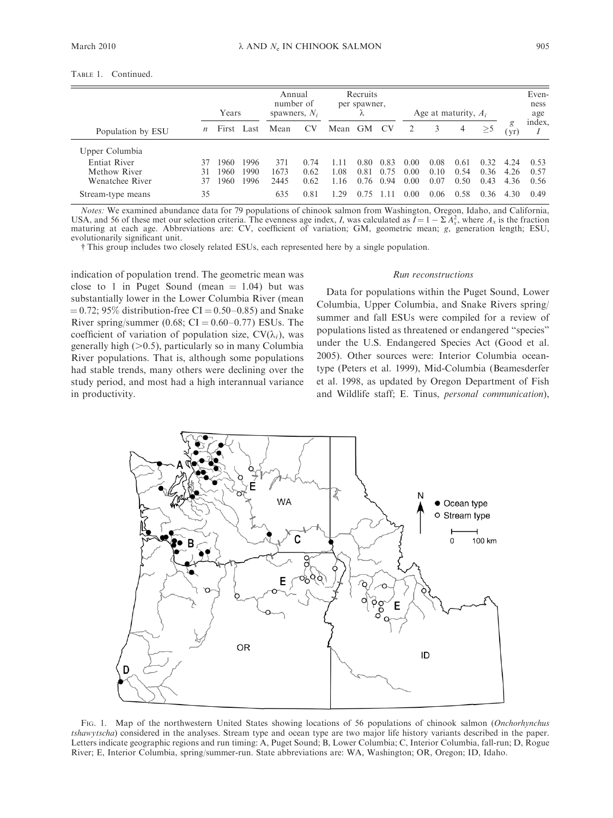Ė

|                     | Years            |       | Annual<br>number of<br>spawners, $N_i$ |      | Recruits<br>per spawner, |      | Age at maturity, $A_i$ |           |      |      | Even-<br>ness<br>age |          |           |        |
|---------------------|------------------|-------|----------------------------------------|------|--------------------------|------|------------------------|-----------|------|------|----------------------|----------|-----------|--------|
| Population by ESU   | $\boldsymbol{n}$ | First | Last                                   | Mean | CV                       | Mean | GM                     | <b>CV</b> |      |      | 4                    | $\geq 5$ | g<br>(yr) | index, |
| Upper Columbia      |                  |       |                                        |      |                          |      |                        |           |      |      |                      |          |           |        |
| <b>Entiat River</b> | 37               | 1960  | 1996                                   | 371  | 0.74                     | l 11 | 0.80                   | 0.83      | 0.00 | 0.08 | (0.61)               | 0.32     | 4.24      | 0.53   |
| Methow River        | 31               | 1960  | 1990                                   | 1673 | 0.62                     | 1.08 | 0.81                   | 0.75      | 0.00 | 0.10 | 0.54                 | 0.36     | 4.26      | 0.57   |
| Wenatchee River     | 37               | 1960  | 1996                                   | 2445 | 0.62                     | 1.16 | 0.76                   | 0.94      | 0.00 | 0.07 | 0.50                 | 0.43     | 4.36      | 0.56   |
| Stream-type means   | 35               |       |                                        | 635  | 0.81                     | 1.29 | 0.75                   |           | 0.00 | 0.06 | 0.58                 | 0.36     | 4.30      | 0.49   |

Notes: We examined abundance data for 79 populations of chinook salmon from Washington, Oregon, Idaho, and California, USA, and 56 of these met our selection criteria. The evenness age index, I, was calculated as  $\overline{I} = 1 - \sum A_x^2$ , where  $A_x$  is the fraction maturing at each age. Abbreviations are: CV, coefficient of variation; GM, geometric mean; g, generation length; ESU, evolutionarily significant unit.

- This group includes two closely related ESUs, each represented here by a single population.

indication of population trend. The geometric mean was close to 1 in Puget Sound (mean  $= 1.04$ ) but was substantially lower in the Lower Columbia River (mean  $= 0.72$ ; 95% distribution-free CI  $= 0.50 - 0.85$ ) and Snake River spring/summer (0.68;  $CI = 0.60 - 0.77$ ) ESUs. The coefficient of variation of population size,  $CV(\lambda_i)$ , was generally high  $(>0.5)$ , particularly so in many Columbia River populations. That is, although some populations had stable trends, many others were declining over the study period, and most had a high interannual variance in productivity.

## Run reconstructions

Data for populations within the Puget Sound, Lower Columbia, Upper Columbia, and Snake Rivers spring/ summer and fall ESUs were compiled for a review of populations listed as threatened or endangered ''species'' under the U.S. Endangered Species Act (Good et al. 2005). Other sources were: Interior Columbia oceantype (Peters et al. 1999), Mid-Columbia (Beamesderfer et al. 1998, as updated by Oregon Department of Fish and Wildlife staff; E. Tinus, personal communication),



FIG. 1. Map of the northwestern United States showing locations of 56 populations of chinook salmon (Onchorhynchus tshawytscha) considered in the analyses. Stream type and ocean type are two major life history variants described in the paper. Letters indicate geographic regions and run timing: A, Puget Sound; B, Lower Columbia; C, Interior Columbia, fall-run; D, Rogue River; E, Interior Columbia, spring/summer-run. State abbreviations are: WA, Washington; OR, Oregon; ID, Idaho.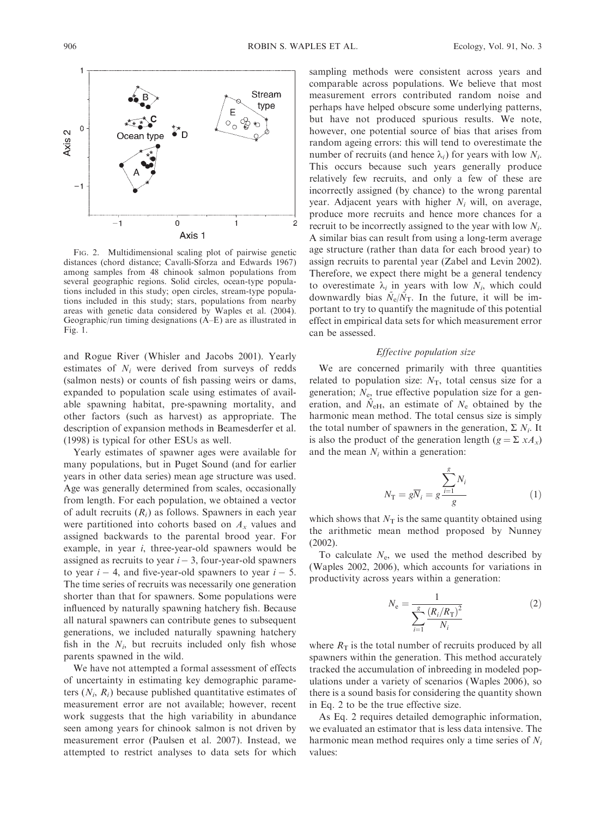

FIG. 2. Multidimensional scaling plot of pairwise genetic distances (chord distance; Cavalli-Sforza and Edwards 1967) among samples from 48 chinook salmon populations from several geographic regions. Solid circles, ocean-type populations included in this study; open circles, stream-type populations included in this study; stars, populations from nearby areas with genetic data considered by Waples et al. (2004). Geographic/run timing designations (A–E) are as illustrated in Fig. 1.

and Rogue River (Whisler and Jacobs 2001). Yearly estimates of  $N_i$  were derived from surveys of redds (salmon nests) or counts of fish passing weirs or dams, expanded to population scale using estimates of available spawning habitat, pre-spawning mortality, and other factors (such as harvest) as appropriate. The description of expansion methods in Beamesderfer et al. (1998) is typical for other ESUs as well.

Yearly estimates of spawner ages were available for many populations, but in Puget Sound (and for earlier years in other data series) mean age structure was used. Age was generally determined from scales, occasionally from length. For each population, we obtained a vector of adult recruits  $(R<sub>i</sub>)$  as follows. Spawners in each year were partitioned into cohorts based on  $A_x$  values and assigned backwards to the parental brood year. For example, in year i, three-year-old spawners would be assigned as recruits to year  $i - 3$ , four-year-old spawners to year  $i - 4$ , and five-year-old spawners to year  $i - 5$ . The time series of recruits was necessarily one generation shorter than that for spawners. Some populations were influenced by naturally spawning hatchery fish. Because all natural spawners can contribute genes to subsequent generations, we included naturally spawning hatchery fish in the  $N_i$ , but recruits included only fish whose parents spawned in the wild.

We have not attempted a formal assessment of effects of uncertainty in estimating key demographic parameters  $(N_i, R_i)$  because published quantitative estimates of measurement error are not available; however, recent work suggests that the high variability in abundance seen among years for chinook salmon is not driven by measurement error (Paulsen et al. 2007). Instead, we attempted to restrict analyses to data sets for which

sampling methods were consistent across years and comparable across populations. We believe that most measurement errors contributed random noise and perhaps have helped obscure some underlying patterns, but have not produced spurious results. We note, however, one potential source of bias that arises from random ageing errors: this will tend to overestimate the number of recruits (and hence  $\lambda_i$ ) for years with low  $N_i$ . This occurs because such years generally produce relatively few recruits, and only a few of these are incorrectly assigned (by chance) to the wrong parental year. Adjacent years with higher  $N_i$  will, on average, produce more recruits and hence more chances for a recruit to be incorrectly assigned to the year with low  $N_i$ . A similar bias can result from using a long-term average age structure (rather than data for each brood year) to assign recruits to parental year (Zabel and Levin 2002). Therefore, we expect there might be a general tendency to overestimate  $\lambda_i$  in years with low  $N_i$ , which could downwardly bias  $\tilde{N}_{e}/\tilde{N}_{T}$ . In the future, it will be important to try to quantify the magnitude of this potential effect in empirical data sets for which measurement error can be assessed.

## Effective population size

We are concerned primarily with three quantities related to population size:  $N_T$ , total census size for a generation;  $N_e$ , true effective population size for a generation, and  $\hat{N}_{\text{eH}}$ , an estimate of  $N_{\text{e}}$  obtained by the harmonic mean method. The total census size is simply the total number of spawners in the generation,  $\Sigma N_i$ . It is also the product of the generation length  $(g = \sum x A_x)$ and the mean  $N_i$  within a generation:

$$
N_{\rm T} = g\overline{N}_i = g \frac{\sum_{i=1}^{g} N_i}{g} \tag{1}
$$

which shows that  $N_T$  is the same quantity obtained using the arithmetic mean method proposed by Nunney (2002).

To calculate  $N_e$ , we used the method described by (Waples 2002, 2006), which accounts for variations in productivity across years within a generation:

$$
N_{\rm e} = \frac{1}{\sum_{i=1}^{s} \frac{(R_i/R_{\rm T})^2}{N_i}}
$$
(2)

where  $R_T$  is the total number of recruits produced by all spawners within the generation. This method accurately tracked the accumulation of inbreeding in modeled populations under a variety of scenarios (Waples 2006), so there is a sound basis for considering the quantity shown in Eq. 2 to be the true effective size.

As Eq. 2 requires detailed demographic information, we evaluated an estimator that is less data intensive. The harmonic mean method requires only a time series of  $N_i$ values: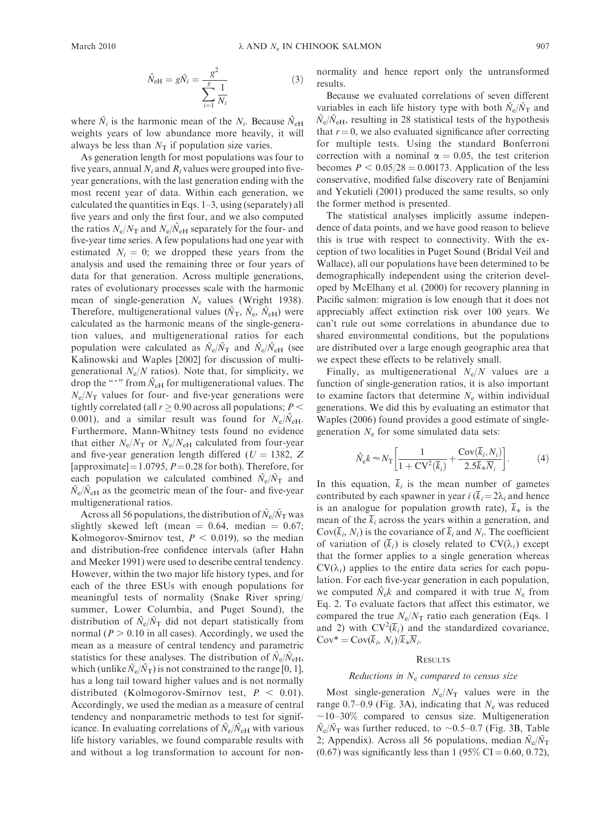$$
\hat{N}_{\text{eH}} = g\tilde{N}_i = \frac{g^2}{\sum_{i=1}^g \frac{1}{N_i}}\tag{3}
$$

where  $\tilde{N}_i$  is the harmonic mean of the  $N_i$ . Because  $\hat{N}_{\text{eH}}$ weights years of low abundance more heavily, it will always be less than  $N<sub>T</sub>$  if population size varies.

As generation length for most populations was four to five years, annual  $N_i$  and  $R_i$  values were grouped into fiveyear generations, with the last generation ending with the most recent year of data. Within each generation, we calculated the quantities in Eqs. 1–3, using (separately) all five years and only the first four, and we also computed the ratios  $N_e/N_T$  and  $N_e/\hat{N}_{eH}$  separately for the four- and five-year time series. A few populations had one year with estimated  $N_i = 0$ ; we dropped these years from the analysis and used the remaining three or four years of data for that generation. Across multiple generations, rates of evolutionary processes scale with the harmonic mean of single-generation  $N_e$  values (Wright 1938). Therefore, multigenerational values ( $\tilde{N}_{\rm T}$ ,  $\tilde{N}_{\rm e}$ ,  $\tilde{N}_{\rm eH}$ ) were calculated as the harmonic means of the single-generation values, and multigenerational ratios for each population were calculated as  $\tilde{N}_e/\tilde{N}_T$  and  $\tilde{N}_e/\tilde{N}_{eH}$  (see Kalinowski and Waples [2002] for discussion of multigenerational  $N_e/N$  ratios). Note that, for simplicity, we drop the " $\gamma$ " from  $\hat{N}_{\text{eH}}$  for multigenerational values. The  $N_e/N_T$  values for four- and five-year generations were tightly correlated (all  $r \geq 0.90$  across all populations;  $P <$ 0.001), and a similar result was found for  $N_e/\hat{N}_{\text{eH}}$ . Furthermore, Mann-Whitney tests found no evidence that either  $N_e/N_T$  or  $N_e/N_{\text{eH}}$  calculated from four-year and five-year generation length differed ( $U = 1382, Z$ [approximate] = 1.0795,  $P = 0.28$  for both). Therefore, for each population we calculated combined  $\tilde{N}_e/\tilde{N}_T$  and  $\tilde{N}_{\rm e}/\tilde{N}_{\rm eH}$  as the geometric mean of the four- and five-year multigenerational ratios.

Across all 56 populations, the distribution of  $\tilde{N}_{e}/\tilde{N}_{T}$  was slightly skewed left (mean  $= 0.64$ , median  $= 0.67$ ; Kolmogorov-Smirnov test,  $P < 0.019$ ), so the median and distribution-free confidence intervals (after Hahn and Meeker 1991) were used to describe central tendency. However, within the two major life history types, and for each of the three ESUs with enough populations for meaningful tests of normality (Snake River spring/ summer, Lower Columbia, and Puget Sound), the distribution of  $\bar{N}_{e}/\bar{N}_{T}$  did not depart statistically from normal ( $P > 0.10$  in all cases). Accordingly, we used the mean as a measure of central tendency and parametric statistics for these analyses. The distribution of  $\tilde{N}_{\rm e}/\tilde{N}_{\rm eH}$ , which (unlike  $\tilde{N}_e/\tilde{N}_T$ ) is not constrained to the range [0, 1], has a long tail toward higher values and is not normally distributed (Kolmogorov-Smirnov test,  $P < 0.01$ ). Accordingly, we used the median as a measure of central tendency and nonparametric methods to test for significance. In evaluating correlations of  $\tilde{N}_{\rm e}/\tilde{N}_{\rm eH}$  with various life history variables, we found comparable results with and without a log transformation to account for nonnormality and hence report only the untransformed results.

Because we evaluated correlations of seven different variables in each life history type with both  $\tilde{N}_e/\tilde{N}_T$  and  $\tilde{N}_{\rm e}/\tilde{N}_{\rm eH}$ , resulting in 28 statistical tests of the hypothesis that  $r = 0$ , we also evaluated significance after correcting for multiple tests. Using the standard Bonferroni correction with a nominal  $\alpha = 0.05$ , the test criterion becomes  $P < 0.05/28 = 0.00173$ . Application of the less conservative, modified false discovery rate of Benjamini and Yekutieli (2001) produced the same results, so only the former method is presented.

The statistical analyses implicitly assume independence of data points, and we have good reason to believe this is true with respect to connectivity. With the exception of two localities in Puget Sound (Bridal Veil and Wallace), all our populations have been determined to be demographically independent using the criterion developed by McElhany et al. (2000) for recovery planning in Pacific salmon: migration is low enough that it does not appreciably affect extinction risk over 100 years. We can't rule out some correlations in abundance due to shared environmental conditions, but the populations are distributed over a large enough geographic area that we expect these effects to be relatively small.

Finally, as multigenerational  $N_e/N$  values are a function of single-generation ratios, it is also important to examine factors that determine  $N_e$  within individual generations. We did this by evaluating an estimator that Waples (2006) found provides a good estimate of singlegeneration  $N_e$  for some simulated data sets:

$$
\hat{N}_{\rm e}k \approx N_{\rm T} \left[ \frac{1}{1 + {\rm CV}^2(\overline{k}_i)} + \frac{{\rm Cov}(\overline{k}_i, N_i)}{2.5 \overline{k}_* \overline{N}_i} \right].\tag{4}
$$

In this equation,  $\overline{k}_i$  is the mean number of gametes contributed by each spawner in year  $i$  ( $\overline{k}_i = 2\lambda_i$  and hence is an analogue for population growth rate),  $\overline{k}_*$  is the mean of the  $\overline{k}_i$  across the years within a generation, and  $Cov(\overline{k}_i, N_i)$  is the covariance of  $\overline{k}_i$  and  $N_i$ . The coefficient of variation of  $(\overline{k}_i)$  is closely related to  $CV(\lambda_i)$  except that the former applies to a single generation whereas  $CV(\lambda_i)$  applies to the entire data series for each population. For each five-year generation in each population, we computed  $\hat{N}_{e}k$  and compared it with true  $N_{e}$  from Eq. 2. To evaluate factors that affect this estimator, we compared the true  $N_e/N_T$  ratio each generation (Eqs. 1) and 2) with  $CV^2(\overline{k}_i)$  and the standardized covariance,  $Cov^* = Cov(\overline{k}_i, N_i)/\overline{k}_*\overline{N}_i.$ 

## **RESULTS**

## Reductions in  $N_e$  compared to census size

Most single-generation  $N_e/N_T$  values were in the range 0.7–0.9 (Fig. 3A), indicating that  $N_e$  was reduced  $\sim$ 10–30% compared to census size. Multigeneration  $\tilde{N}_e/\tilde{N}_T$  was further reduced, to ~0.5–0.7 (Fig. 3B, Table 2; Appendix). Across all 56 populations, median  $\tilde{N}_{e}/\tilde{N}_{T}$  $(0.67)$  was significantly less than 1 (95% CI = 0.60, 0.72),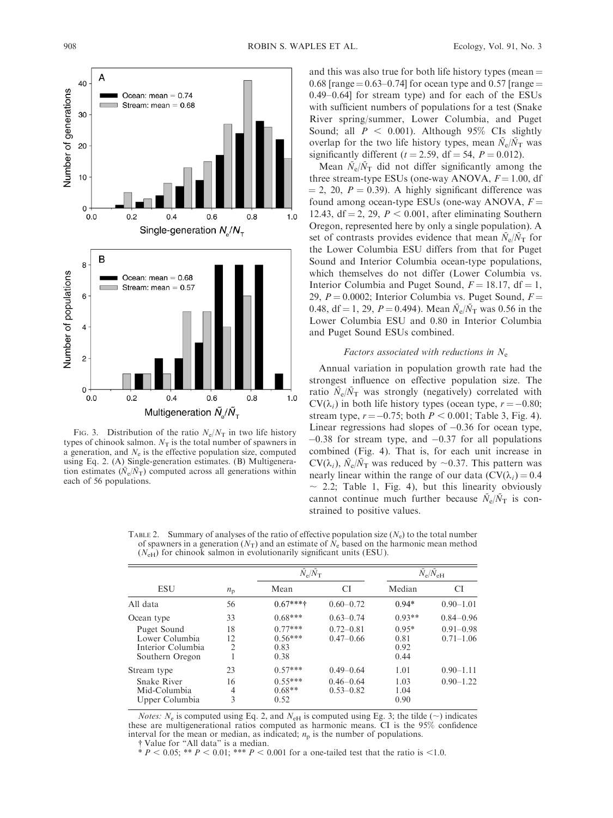

FIG. 3. Distribution of the ratio  $N_e/N_T$  in two life history types of chinook salmon.  $N_T$  is the total number of spawners in a generation, and  $N_e$  is the effective population size, computed using Eq. 2. (A) Single-generation estimates. (B) Multigeneration estimates ( $\tilde{N}_{e}/\tilde{N}_{T}$ ) computed across all generations within each of 56 populations.

and this was also true for both life history types (mean  $=$ 0.68 [range =  $0.63-0.74$ ] for ocean type and 0.57 [range = 0.49–0.64] for stream type) and for each of the ESUs with sufficient numbers of populations for a test (Snake River spring/summer, Lower Columbia, and Puget Sound; all  $P < 0.001$ ). Although 95% CIs slightly overlap for the two life history types, mean  $\tilde{N}_{e}/\tilde{N}_{T}$  was significantly different ( $t = 2.59$ , df = 54,  $P = 0.012$ ).

Mean  $\tilde{N}_{\rm e}/\tilde{N}_{\rm T}$  did not differ significantly among the three stream-type ESUs (one-way ANOVA,  $F = 1.00$ , df  $= 2, 20, P = 0.39$ . A highly significant difference was found among ocean-type ESUs (one-way ANOVA,  $F =$ 12.43, df = 2, 29,  $P < 0.001$ , after eliminating Southern Oregon, represented here by only a single population). A set of contrasts provides evidence that mean  $\tilde{N}_{e}/\tilde{N}_{T}$  for the Lower Columbia ESU differs from that for Puget Sound and Interior Columbia ocean-type populations, which themselves do not differ (Lower Columbia vs. Interior Columbia and Puget Sound,  $F = 18.17$ , df = 1, 29,  $P = 0.0002$ ; Interior Columbia vs. Puget Sound,  $F =$ 0.48, df = 1, 29, P = 0.494). Mean  $\tilde{N}_e/\tilde{N}_T$  was 0.56 in the Lower Columbia ESU and 0.80 in Interior Columbia and Puget Sound ESUs combined.

## Factors associated with reductions in  $N_e$

Annual variation in population growth rate had the strongest influence on effective population size. The ratio  $\tilde{N}_e/\tilde{N}_T$  was strongly (negatively) correlated with  $CV(\lambda_i)$  in both life history types (ocean type,  $r = -0.80$ ; stream type,  $r = -0.75$ ; both  $P < 0.001$ ; Table 3, Fig. 4). Linear regressions had slopes of  $-0.36$  for ocean type,  $-0.38$  for stream type, and  $-0.37$  for all populations combined (Fig. 4). That is, for each unit increase in  $CV(\lambda_i)$ ,  $\bar{N}_e/\bar{N}_T$  was reduced by ~0.37. This pattern was nearly linear within the range of our data  $(CV(\lambda_i) = 0.4$  $\sim$  2.2; Table 1, Fig. 4), but this linearity obviously cannot continue much further because  $\tilde{N}_e/\tilde{N}_T$  is constrained to positive values.

|                                                                       |                            | $\tilde{N}_{\rm e}/\tilde{N}_{\rm T}$  |                                | $\tilde{N}_{\rm e}/\tilde{N}_{\rm eH}$ |                                |  |  |
|-----------------------------------------------------------------------|----------------------------|----------------------------------------|--------------------------------|----------------------------------------|--------------------------------|--|--|
| <b>ESU</b>                                                            | $n_{\rm p}$                | Mean                                   | CI                             | Median                                 | <b>CI</b>                      |  |  |
| All data                                                              | 56                         | $0.67***$                              | $0.60 - 0.72$                  | $0.94*$                                | $0.90 - 1.01$                  |  |  |
| Ocean type                                                            | 33                         | $0.68***$                              | $0.63 - 0.74$                  | $0.93**$                               | $0.84 - 0.96$                  |  |  |
| Puget Sound<br>Lower Columbia<br>Interior Columbia<br>Southern Oregon | 18<br>12<br>$\overline{c}$ | $0.77***$<br>$0.56***$<br>0.83<br>0.38 | $0.72 - 0.81$<br>$0.47 - 0.66$ | $0.95*$<br>0.81<br>0.92<br>0.44        | $0.91 - 0.98$<br>$0.71 - 1.06$ |  |  |
| Stream type                                                           | 23                         | $0.57***$                              | $0.49 - 0.64$                  | 1.01                                   | $0.90 - 1.11$                  |  |  |
| Snake River<br>Mid-Columbia<br>Upper Columbia                         | 16<br>4<br>3               | $0.55***$<br>$0.68**$<br>0.52          | $0.46 - 0.64$<br>$0.53 - 0.82$ | 1.03<br>1.04<br>0.90                   | $0.90 - 1.22$                  |  |  |

TABLE 2. Summary of analyses of the ratio of effective population size  $(N<sub>e</sub>)$  to the total number of spawners in a generation ( $N_T$ ) and an estimate of  $N_e$  based on the harmonic mean method  $(N<sub>eH</sub>)$  for chinook salmon in evolutionarily significant units (ESU).

*Notes:*  $N_e$  is computed using Eq. 2, and  $N_{\text{eH}}$  is computed using Eg. 3; the tilde ( $\sim$ ) indicates these are multigenerational ratios computed as harmonic means. CI is the 95% confidence interval for the mean or median, as indicated;  $n<sub>p</sub>$  is the number of populations.

- Value for ''All data'' is a median.

\*  $P < 0.05$ ; \*\*  $P < 0.01$ ; \*\*\*  $P < 0.001$  for a one-tailed test that the ratio is <1.0.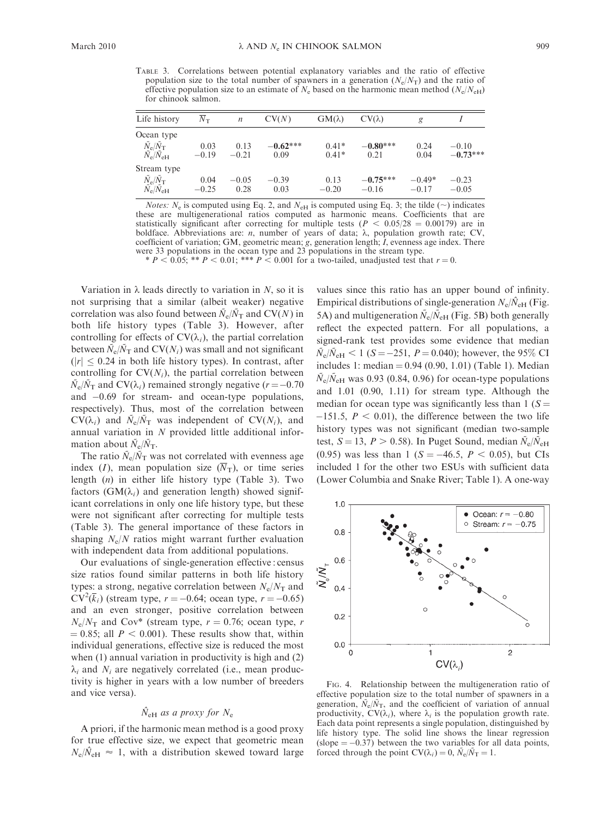TABLE 3. Correlations between potential explanatory variables and the ratio of effective population size to the total number of spawners in a generation  $(N_e/N_T)$  and the ratio of effective population size to an estimate of  $N_e$  based on the harmonic mean method  $(N_e/N_{\rm eH})$ for chinook salmon.

| Life history                                | $N_{\rm T}$ | $\boldsymbol{n}$ | CV(N)      | $GM(\lambda)$ | $CV(\lambda)$ | g        |            |
|---------------------------------------------|-------------|------------------|------------|---------------|---------------|----------|------------|
| Ocean type                                  |             |                  |            |               |               |          |            |
| $\tilde{N_{\rm e}}/\tilde{N_{\rm T}}$       | 0.03        | 0.13             | $-0.62***$ | $0.41*$       | $-0.80***$    | 0.24     | $-0.10$    |
| $\tilde{N}_{\rm e}/\tilde{N}_{\rm eH}$      | $-0.19$     | $-0.21$          | 0.09       | $0.41*$       | 0.21          | 0.04     | $-0.73***$ |
| Stream type                                 |             |                  |            |               |               |          |            |
| $\tilde{N}_\mathrm{e}/\tilde{N}_\mathrm{T}$ | 0.04        | $-0.05$          | $-0.39$    | 0.13          | $-0.75***$    | $-0.49*$ | $-0.23$    |
| $\tilde{N_{\rm e}}/\tilde{N_{\rm eH}}$      | $-0.25$     | 0.28             | 0.03       | $-0.20$       | $-0.16$       | $-0.17$  | $-0.05$    |

*Notes:*  $N_e$  is computed using Eq. 2, and  $N_{\text{eH}}$  is computed using Eq. 3; the tilde ( $\sim$ ) indicates these are multigenerational ratios computed as harmonic means. Coefficients that are statistically significant after correcting for multiple tests ( $P < 0.05/28 = 0.00179$ ) are in boldface. Abbreviations are:  $n$ , number of years of data;  $\lambda$ , population growth rate; CV, coefficient of variation; GM, geometric mean; g, generation length; I, evenness age index. There were 33 populations in the ocean type and 23 populations in the stream type.

\*  $P < 0.05$ ; \*\*  $P < 0.01$ ; \*\*\*  $P < 0.001$  for a two-tailed, unadjusted test that  $r = 0$ .

Variation in  $\lambda$  leads directly to variation in N, so it is not surprising that a similar (albeit weaker) negative correlation was also found between  $\tilde{N}_e/\tilde{N}_T$  and CV(N) in both life history types (Table 3). However, after controlling for effects of  $CV(\lambda_i)$ , the partial correlation between  $\tilde{N}_{\rm e}/\tilde{N}_{\rm T}$  and CV( $N_i$ ) was small and not significant  $(|r| \leq 0.24$  in both life history types). In contrast, after controlling for  $CV(N_i)$ , the partial correlation between  $\tilde{N}_{\rm e}/\tilde{N}_{\rm T}$  and CV( $\lambda_i$ ) remained strongly negative (r = -0.70 and -0.69 for stream- and ocean-type populations, respectively). Thus, most of the correlation between  $CV(\lambda_i)$  and  $\tilde{N}_e/\tilde{N}_T$  was independent of  $CV(N_i)$ , and annual variation in N provided little additional information about  $\tilde{N}_e/\tilde{N}_{\rm T}$ .

The ratio  $\tilde{N}_{e}/\tilde{N}_{\text{T}}$  was not correlated with evenness age index (I), mean population size  $(\overline{N}_{T})$ , or time series length (n) in either life history type (Table 3). Two factors ( $GM(\lambda_i)$  and generation length) showed significant correlations in only one life history type, but these were not significant after correcting for multiple tests (Table 3). The general importance of these factors in shaping  $N_e/N$  ratios might warrant further evaluation with independent data from additional populations.

Our evaluations of single-generation effective : census size ratios found similar patterns in both life history types: a strong, negative correlation between  $N_e/N_T$  and  $CV^2(\overline{k}_i)$  (stream type,  $r = -0.64$ ; ocean type,  $r = -0.65$ ) and an even stronger, positive correlation between  $N_e/N_T$  and Cov<sup>\*</sup> (stream type,  $r = 0.76$ ; ocean type, r  $= 0.85$ ; all  $P < 0.001$ ). These results show that, within individual generations, effective size is reduced the most when (1) annual variation in productivity is high and (2)  $\lambda_i$  and  $N_i$  are negatively correlated (i.e., mean productivity is higher in years with a low number of breeders and vice versa).

## $\hat{N}_{\text{eH}}$  as a proxy for  $N_{\text{e}}$

A priori, if the harmonic mean method is a good proxy for true effective size, we expect that geometric mean  $N_e/\hat{N}_{\text{eH}} \approx 1$ , with a distribution skewed toward large values since this ratio has an upper bound of infinity. Empirical distributions of single-generation  $N_e/\hat{N}_{\text{eH}}$  (Fig. 5A) and multigeneration  $\tilde{N}_{\rm e}/\tilde{N}_{\rm eH}$  (Fig. 5B) both generally reflect the expected pattern. For all populations, a signed-rank test provides some evidence that median  $\tilde{N}_{\rm e}/\tilde{N}_{\rm eH}$  < 1 (S = -251, P = 0.040); however, the 95% CI includes 1: median =  $0.94$  (0.90, 1.01) (Table 1). Median  $N_e/N_{\rm eH}$  was 0.93 (0.84, 0.96) for ocean-type populations and 1.01 (0.90, 1.11) for stream type. Although the median for ocean type was significantly less than  $1 (S =$  $-151.5$ ,  $P < 0.01$ ), the difference between the two life history types was not significant (median two-sample test,  $S = 13$ ,  $P > 0.58$ ). In Puget Sound, median  $\tilde{N}_{e}/\tilde{N}_{eH}$ (0.95) was less than 1 ( $S = -46.5$ ,  $P < 0.05$ ), but CIs included 1 for the other two ESUs with sufficient data (Lower Columbia and Snake River; Table 1). A one-way



FIG. 4. Relationship between the multigeneration ratio of effective population size to the total number of spawners in a generation,  $\tilde{N}_e/\tilde{N}_T$ , and the coefficient of variation of annual productivity,  $CV(\lambda_i)$ , where  $\lambda_i$  is the population growth rate. Each data point represents a single population, distinguished by life history type. The solid line shows the linear regression  $(slope = -0.37)$  between the two variables for all data points, forced through the point  $CV(\lambda_i) = 0$ ,  $\tilde{N}_e/\tilde{N}_T = 1$ .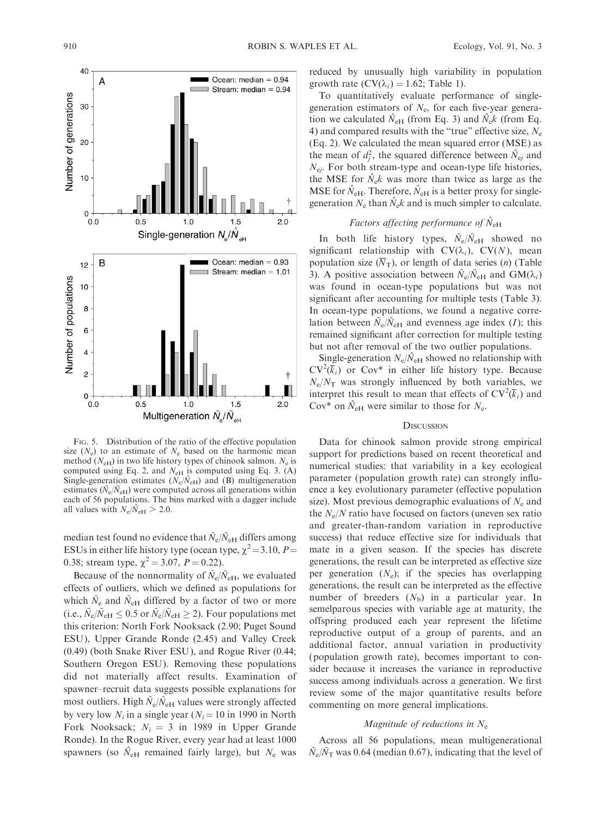

FIG. 5. Distribution of the ratio of the effective population size  $(N_e)$  to an estimate of  $N_e$  based on the harmonic mean method ( $N_{\text{eH}}$ ) in two life history types of chinook salmon.  $N_{\text{e}}$  is computed using Eq. 2, and  $N_{\text{eH}}$  is computed using Eq. 3. (A) Single-generation estimates ( $N_e/N_{\text{eH}}$ ) and (B) multigeneration estimates ( $\tilde{N}_{\rm e}/\tilde{N}_{\rm eH}$ ) were computed across all generations within each of 56 populations. The bins marked with a dagger include all values with  $N_e/\hat{N}_{\text{eH}} > 2.0$ .

median test found no evidence that  $\tilde{N}_e/\tilde{N}_{eH}$  differs among ESUs in either life history type (ocean type,  $\chi^2 = 3.10$ ,  $P =$ 0.38; stream type,  $\chi^2 = 3.07$ ,  $P = 0.22$ ).

Because of the nonnormality of  $\tilde{N}_e/\tilde{N}_{eH}$ , we evaluated effects of outliers, which we defined as populations for which  $\tilde{N}_e$  and  $\tilde{N}_{\text{eH}}$  differed by a factor of two or more (i.e.,  $\tilde{N}_{\rm e}/\tilde{N}_{\rm eH} \leq 0.5$  or  $\tilde{N}_{\rm e}/\tilde{N}_{\rm eH} \geq 2$ ). Four populations met this criterion: North Fork Nooksack (2.90; Puget Sound ESU), Upper Grande Ronde (2.45) and Valley Creek (0.49) (both Snake River ESU ), and Rogue River (0.44; Southern Oregon ESU). Removing these populations did not materially affect results. Examination of spawner–recruit data suggests possible explanations for most outliers. High  $\tilde{N}_e/\tilde{N}_{eH}$  values were strongly affected by very low  $N_i$  in a single year ( $N_i = 10$  in 1990 in North Fork Nooksack;  $N_i = 3$  in 1989 in Upper Grande Ronde). In the Rogue River, every year had at least 1000 spawners (so  $\hat{N}_{\text{eH}}$  remained fairly large), but  $N_{\text{e}}$  was reduced by unusually high variability in population growth rate  $(CV(\lambda_i) = 1.62$ ; Table 1).

To quantitatively evaluate performance of singlegeneration estimators of  $N_e$ , for each five-year generation we calculated  $\hat{N}_{\text{eH}}$  (from Eq. 3) and  $\hat{N}_{\text{e}}k$  (from Eq. 4) and compared results with the "true" effective size,  $N_e$ (Eq. 2). We calculated the mean squared error (MSE) as the mean of  $d_j^2$ , the squared difference between  $\hat{N}_{ej}$  and  $N_{ej}$ . For both stream-type and ocean-type life histories, the MSE for  $\hat{N}_{e}k$  was more than twice as large as the MSE for  $\hat{N}_{\text{eH}}$ . Therefore,  $\hat{N}_{\text{eH}}$  is a better proxy for singlegeneration  $N_e$  than  $\hat{N}_e k$  and is much simpler to calculate.

## Factors affecting performance of  $\hat{N}_{\text{eH}}$

In both life history types,  $\tilde{N}_{\rm e}/\tilde{N}_{\rm eH}$  showed no significant relationship with  $CV(\lambda_i)$ ,  $CV(N)$ , mean population size  $(\overline{N}_{T})$ , or length of data series (n) (Table 3). A positive association between  $\tilde{N}_{\rm e}/\tilde{N}_{\rm eH}$  and  $\text{GM}(\lambda_i)$ was found in ocean-type populations but was not significant after accounting for multiple tests (Table 3). In ocean-type populations, we found a negative correlation between  $\tilde{N}_e/\tilde{N}_{eH}$  and evenness age index (*I*); this remained significant after correction for multiple testing but not after removal of the two outlier populations.

Single-generation  $N_e/\hat{N}_{eH}$  showed no relationship with  $CV^2(\overline{k}_i)$  or Cov\* in either life history type. Because  $N_e/N_T$  was strongly influenced by both variables, we interpret this result to mean that effects of  $CV^2(\overline{k}_i)$  and Cov<sup>\*</sup> on  $\hat{N}_{\text{eH}}$  were similar to those for  $N_{\text{e}}$ .

## **DISCUSSION**

Data for chinook salmon provide strong empirical support for predictions based on recent theoretical and numerical studies: that variability in a key ecological parameter (population growth rate) can strongly influence a key evolutionary parameter (effective population size). Most previous demographic evaluations of  $N_e$  and the  $N_e/N$  ratio have focused on factors (uneven sex ratio and greater-than-random variation in reproductive success) that reduce effective size for individuals that mate in a given season. If the species has discrete generations, the result can be interpreted as effective size per generation  $(N_e)$ ; if the species has overlapping generations, the result can be interpreted as the effective number of breeders  $(N_b)$  in a particular year. In semelparous species with variable age at maturity, the offspring produced each year represent the lifetime reproductive output of a group of parents, and an additional factor, annual variation in productivity (population growth rate), becomes important to consider because it increases the variance in reproductive success among individuals across a generation. We first review some of the major quantitative results before commenting on more general implications.

## Magnitude of reductions in  $N_e$

Across all 56 populations, mean multigenerational  $\tilde{N}_{\rm e}/\tilde{N}_{\rm T}$  was 0.64 (median 0.67), indicating that the level of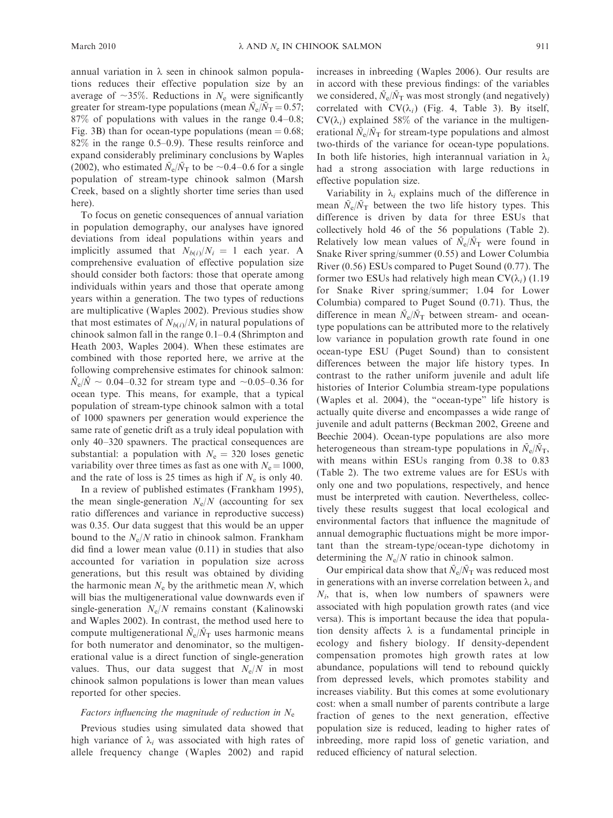annual variation in  $\lambda$  seen in chinook salmon populations reduces their effective population size by an average of  $\sim$ 35%. Reductions in  $N_e$  were significantly greater for stream-type populations (mean  $\tilde{N}_{e}/\tilde{N}_{T} = 0.57$ ; 87% of populations with values in the range 0.4–0.8; Fig. 3B) than for ocean-type populations (mean  $= 0.68$ ; 82% in the range 0.5–0.9). These results reinforce and expand considerably preliminary conclusions by Waples (2002), who estimated  $\tilde{N}_{\rm e}/\tilde{N}_{\rm T}$  to be  $\sim$  0.4–0.6 for a single population of stream-type chinook salmon (Marsh Creek, based on a slightly shorter time series than used here).

To focus on genetic consequences of annual variation in population demography, our analyses have ignored deviations from ideal populations within years and implicitly assumed that  $N_{b(i)}/N_i = 1$  each year. A comprehensive evaluation of effective population size should consider both factors: those that operate among individuals within years and those that operate among years within a generation. The two types of reductions are multiplicative (Waples 2002). Previous studies show that most estimates of  $N_{b(i)}/N_i$  in natural populations of chinook salmon fall in the range 0.1–0.4 (Shrimpton and Heath 2003, Waples 2004). When these estimates are combined with those reported here, we arrive at the following comprehensive estimates for chinook salmon:  $\hat{N}_{\rm e}/\hat{N} \sim 0.04 - 0.32$  for stream type and  $\sim 0.05 - 0.36$  for ocean type. This means, for example, that a typical population of stream-type chinook salmon with a total of 1000 spawners per generation would experience the same rate of genetic drift as a truly ideal population with only 40–320 spawners. The practical consequences are substantial: a population with  $N_e = 320$  loses genetic variability over three times as fast as one with  $N_e = 1000$ , and the rate of loss is 25 times as high if  $N_e$  is only 40.

In a review of published estimates (Frankham 1995), the mean single-generation  $N_e/N$  (accounting for sex ratio differences and variance in reproductive success) was 0.35. Our data suggest that this would be an upper bound to the  $N_e/N$  ratio in chinook salmon. Frankham did find a lower mean value (0.11) in studies that also accounted for variation in population size across generations, but this result was obtained by dividing the harmonic mean  $N_e$  by the arithmetic mean  $N$ , which will bias the multigenerational value downwards even if single-generation  $N_e/N$  remains constant (Kalinowski and Waples 2002). In contrast, the method used here to compute multigenerational  $\tilde{N}_e/\tilde{N}_T$  uses harmonic means for both numerator and denominator, so the multigenerational value is a direct function of single-generation values. Thus, our data suggest that  $N_e/N$  in most chinook salmon populations is lower than mean values reported for other species.

### Factors influencing the magnitude of reduction in  $N_e$

Previous studies using simulated data showed that high variance of  $\lambda_i$  was associated with high rates of allele frequency change (Waples 2002) and rapid increases in inbreeding (Waples 2006). Our results are in accord with these previous findings: of the variables we considered,  $\tilde{N}_{e}/\tilde{N}_{T}$  was most strongly (and negatively) correlated with  $CV(\lambda_i)$  (Fig. 4, Table 3). By itself,  $CV(\lambda_i)$  explained 58% of the variance in the multigenerational  $\tilde{N}_{e}/\tilde{N}_{T}$  for stream-type populations and almost two-thirds of the variance for ocean-type populations. In both life histories, high interannual variation in  $\lambda_i$ had a strong association with large reductions in effective population size.

Variability in  $\lambda_i$  explains much of the difference in mean  $\tilde{N}_{\rm e}/\tilde{N}_{\rm T}$  between the two life history types. This difference is driven by data for three ESUs that collectively hold 46 of the 56 populations (Table 2). Relatively low mean values of  $\tilde{N}_e/\tilde{N}_T$  were found in Snake River spring/summer (0.55) and Lower Columbia River (0.56) ESUs compared to Puget Sound (0.77). The former two ESUs had relatively high mean  $CV(\lambda_i)$  (1.19) for Snake River spring/summer; 1.04 for Lower Columbia) compared to Puget Sound (0.71). Thus, the difference in mean  $\bar{N}_{\rm e}/\bar{N}_{\rm T}$  between stream- and oceantype populations can be attributed more to the relatively low variance in population growth rate found in one ocean-type ESU (Puget Sound) than to consistent differences between the major life history types. In contrast to the rather uniform juvenile and adult life histories of Interior Columbia stream-type populations (Waples et al. 2004), the ''ocean-type'' life history is actually quite diverse and encompasses a wide range of juvenile and adult patterns (Beckman 2002, Greene and Beechie 2004). Ocean-type populations are also more heterogeneous than stream-type populations in  $\bar{N}_e/\bar{N}_T$ , with means within ESUs ranging from 0.38 to 0.83 (Table 2). The two extreme values are for ESUs with only one and two populations, respectively, and hence must be interpreted with caution. Nevertheless, collectively these results suggest that local ecological and environmental factors that influence the magnitude of annual demographic fluctuations might be more important than the stream-type/ocean-type dichotomy in determining the  $N_e/N$  ratio in chinook salmon.

Our empirical data show that  $\tilde{N}_e/\tilde{N}_T$  was reduced most in generations with an inverse correlation between  $\lambda_i$  and  $N_i$ , that is, when low numbers of spawners were associated with high population growth rates (and vice versa). This is important because the idea that population density affects  $\lambda$  is a fundamental principle in ecology and fishery biology. If density-dependent compensation promotes high growth rates at low abundance, populations will tend to rebound quickly from depressed levels, which promotes stability and increases viability. But this comes at some evolutionary cost: when a small number of parents contribute a large fraction of genes to the next generation, effective population size is reduced, leading to higher rates of inbreeding, more rapid loss of genetic variation, and reduced efficiency of natural selection.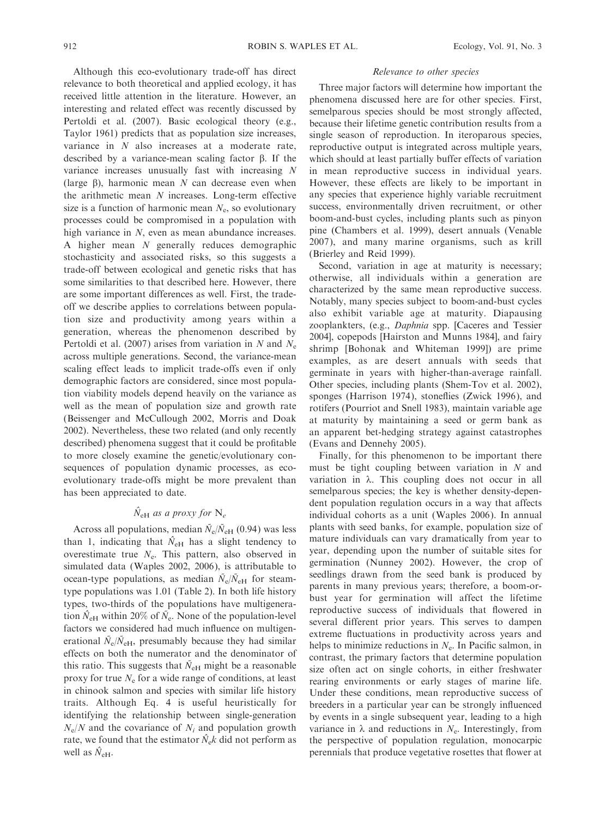Although this eco-evolutionary trade-off has direct relevance to both theoretical and applied ecology, it has received little attention in the literature. However, an interesting and related effect was recently discussed by Pertoldi et al. (2007). Basic ecological theory (e.g., Taylor 1961) predicts that as population size increases, variance in N also increases at a moderate rate, described by a variance-mean scaling factor  $\beta$ . If the variance increases unusually fast with increasing N (large  $\beta$ ), harmonic mean N can decrease even when the arithmetic mean  $N$  increases. Long-term effective size is a function of harmonic mean  $N_e$ , so evolutionary processes could be compromised in a population with high variance in N, even as mean abundance increases. A higher mean N generally reduces demographic stochasticity and associated risks, so this suggests a trade-off between ecological and genetic risks that has some similarities to that described here. However, there are some important differences as well. First, the tradeoff we describe applies to correlations between population size and productivity among years within a generation, whereas the phenomenon described by Pertoldi et al. (2007) arises from variation in N and  $N_e$ across multiple generations. Second, the variance-mean scaling effect leads to implicit trade-offs even if only demographic factors are considered, since most population viability models depend heavily on the variance as well as the mean of population size and growth rate (Beissenger and McCullough 2002, Morris and Doak 2002). Nevertheless, these two related (and only recently described) phenomena suggest that it could be profitable to more closely examine the genetic/evolutionary consequences of population dynamic processes, as ecoevolutionary trade-offs might be more prevalent than has been appreciated to date.

## $\hat{N}_{\text{eH}}$  as a proxy for  $N_e$

Across all populations, median  $\tilde{N}_e/\tilde{N}_{\text{eH}}$  (0.94) was less than 1, indicating that  $\hat{N}_{\text{eH}}$  has a slight tendency to overestimate true  $N_e$ . This pattern, also observed in simulated data (Waples 2002, 2006), is attributable to ocean-type populations, as median  $\tilde{N}_e/\tilde{N}_{eH}$  for steamtype populations was 1.01 (Table 2). In both life history types, two-thirds of the populations have multigeneration  $\hat{N}_{\text{eH}}$  within 20% of  $\tilde{N}_{\text{e}}$ . None of the population-level factors we considered had much influence on multigenerational  $\tilde{N}_e/\tilde{N}_{\text{eH}}$ , presumably because they had similar effects on both the numerator and the denominator of this ratio. This suggests that  $\tilde{N}_{\text{eH}}$  might be a reasonable proxy for true  $N_e$  for a wide range of conditions, at least in chinook salmon and species with similar life history traits. Although Eq. 4 is useful heuristically for identifying the relationship between single-generation  $N_e/N$  and the covariance of  $N_i$  and population growth rate, we found that the estimator  $\hat{N}_{e}k$  did not perform as well as  $\hat{N}_{\rm eH}$ .

## Relevance to other species

Three major factors will determine how important the phenomena discussed here are for other species. First, semelparous species should be most strongly affected, because their lifetime genetic contribution results from a single season of reproduction. In iteroparous species, reproductive output is integrated across multiple years, which should at least partially buffer effects of variation in mean reproductive success in individual years. However, these effects are likely to be important in any species that experience highly variable recruitment success, environmentally driven recruitment, or other boom-and-bust cycles, including plants such as pinyon pine (Chambers et al. 1999), desert annuals (Venable 2007), and many marine organisms, such as krill (Brierley and Reid 1999).

Second, variation in age at maturity is necessary; otherwise, all individuals within a generation are characterized by the same mean reproductive success. Notably, many species subject to boom-and-bust cycles also exhibit variable age at maturity. Diapausing zooplankters, (e.g., Daphnia spp. [Caceres and Tessier 2004], copepods [Hairston and Munns 1984], and fairy shrimp [Bohonak and Whiteman 1999]) are prime examples, as are desert annuals with seeds that germinate in years with higher-than-average rainfall. Other species, including plants (Shem-Tov et al. 2002), sponges (Harrison 1974), stoneflies (Zwick 1996), and rotifers (Pourriot and Snell 1983), maintain variable age at maturity by maintaining a seed or germ bank as an apparent bet-hedging strategy against catastrophes (Evans and Dennehy 2005).

Finally, for this phenomenon to be important there must be tight coupling between variation in  $N$  and variation in  $\lambda$ . This coupling does not occur in all semelparous species; the key is whether density-dependent population regulation occurs in a way that affects individual cohorts as a unit (Waples 2006). In annual plants with seed banks, for example, population size of mature individuals can vary dramatically from year to year, depending upon the number of suitable sites for germination (Nunney 2002). However, the crop of seedlings drawn from the seed bank is produced by parents in many previous years; therefore, a boom-orbust year for germination will affect the lifetime reproductive success of individuals that flowered in several different prior years. This serves to dampen extreme fluctuations in productivity across years and helps to minimize reductions in  $N<sub>e</sub>$ . In Pacific salmon, in contrast, the primary factors that determine population size often act on single cohorts, in either freshwater rearing environments or early stages of marine life. Under these conditions, mean reproductive success of breeders in a particular year can be strongly influenced by events in a single subsequent year, leading to a high variance in  $\lambda$  and reductions in  $N_e$ . Interestingly, from the perspective of population regulation, monocarpic perennials that produce vegetative rosettes that flower at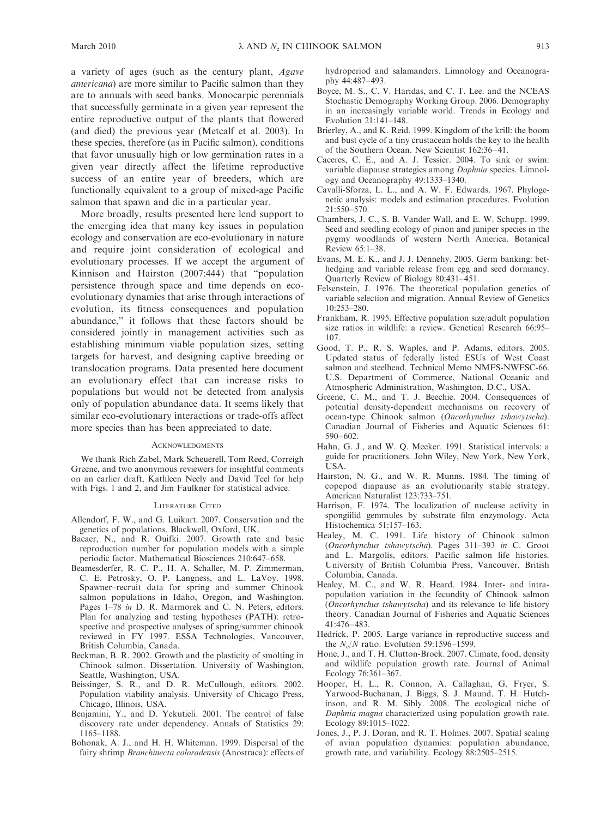a variety of ages (such as the century plant, Agave americana) are more similar to Pacific salmon than they are to annuals with seed banks. Monocarpic perennials that successfully germinate in a given year represent the entire reproductive output of the plants that flowered (and died) the previous year (Metcalf et al. 2003). In these species, therefore (as in Pacific salmon), conditions that favor unusually high or low germination rates in a given year directly affect the lifetime reproductive success of an entire year of breeders, which are functionally equivalent to a group of mixed-age Pacific salmon that spawn and die in a particular year.

More broadly, results presented here lend support to the emerging idea that many key issues in population ecology and conservation are eco-evolutionary in nature and require joint consideration of ecological and evolutionary processes. If we accept the argument of Kinnison and Hairston (2007:444) that ''population persistence through space and time depends on ecoevolutionary dynamics that arise through interactions of evolution, its fitness consequences and population abundance,'' it follows that these factors should be considered jointly in management activities such as establishing minimum viable population sizes, setting targets for harvest, and designing captive breeding or translocation programs. Data presented here document an evolutionary effect that can increase risks to populations but would not be detected from analysis only of population abundance data. It seems likely that similar eco-evolutionary interactions or trade-offs affect more species than has been appreciated to date.

#### ACKNOWLEDGMENTS

We thank Rich Zabel, Mark Scheuerell, Tom Reed, Correigh Greene, and two anonymous reviewers for insightful comments on an earlier draft, Kathleen Neely and David Teel for help with Figs. 1 and 2, and Jim Faulkner for statistical advice.

#### LITERATURE CITED

- Allendorf, F. W., and G. Luikart. 2007. Conservation and the genetics of populations. Blackwell, Oxford, UK.
- Bacaer, N., and R. Ouifki. 2007. Growth rate and basic reproduction number for population models with a simple periodic factor. Mathematical Biosciences 210:647–658.
- Beamesderfer, R. C. P., H. A. Schaller, M. P. Zimmerman, C. E. Petrosky, O. P. Langness, and L. LaVoy. 1998. Spawner–recruit data for spring and summer Chinook salmon populations in Idaho, Oregon, and Washington. Pages 1–78 in D. R. Marmorek and C. N. Peters, editors. Plan for analyzing and testing hypotheses (PATH): retrospective and prospective analyses of spring/summer chinook reviewed in FY 1997. ESSA Technologies, Vancouver, British Columbia, Canada.
- Beckman, B. R. 2002. Growth and the plasticity of smolting in Chinook salmon. Dissertation. University of Washington, Seattle, Washington, USA.
- Beissinger, S. R., and D. R. McCullough, editors. 2002. Population viability analysis. University of Chicago Press, Chicago, Illinois, USA.
- Benjamini, Y., and D. Yekutieli. 2001. The control of false discovery rate under dependency. Annals of Statistics 29: 1165–1188.
- Bohonak, A. J., and H. H. Whiteman. 1999. Dispersal of the fairy shrimp Branchinecta coloradensis (Anostraca): effects of

hydroperiod and salamanders. Limnology and Oceanography 44:487–493.

- Boyce, M. S., C. V. Haridas, and C. T. Lee. and the NCEAS Stochastic Demography Working Group. 2006. Demography in an increasingly variable world. Trends in Ecology and Evolution 21:141–148.
- Brierley, A., and K. Reid. 1999. Kingdom of the krill: the boom and bust cycle of a tiny crustacean holds the key to the health of the Southern Ocean. New Scientist 162:36–41.
- Caceres, C. E., and A. J. Tessier. 2004. To sink or swim: variable diapause strategies among Daphnia species. Limnology and Oceanography 49:1333–1340.
- Cavalli-Sforza, L. L., and A. W. F. Edwards. 1967. Phylogenetic analysis: models and estimation procedures. Evolution 21:550–570.
- Chambers, J. C., S. B. Vander Wall, and E. W. Schupp. 1999. Seed and seedling ecology of pinon and juniper species in the pygmy woodlands of western North America. Botanical Review  $65 \cdot 1 - 38$ .
- Evans, M. E. K., and J. J. Dennehy. 2005. Germ banking: bethedging and variable release from egg and seed dormancy. Quarterly Review of Biology 80:431–451.
- Felsenstein, J. 1976. The theoretical population genetics of variable selection and migration. Annual Review of Genetics 10:253–280.
- Frankham, R. 1995. Effective population size/adult population size ratios in wildlife: a review. Genetical Research 66:95– 107.
- Good, T. P., R. S. Waples, and P. Adams, editors. 2005. Updated status of federally listed ESUs of West Coast salmon and steelhead. Technical Memo NMFS-NWFSC-66. U.S. Department of Commerce, National Oceanic and Atmospheric Administration, Washington, D.C., USA.
- Greene, C. M., and T. J. Beechie. 2004. Consequences of potential density-dependent mechanisms on recovery of ocean-type Chinook salmon (Oncorhynchus tshawytscha). Canadian Journal of Fisheries and Aquatic Sciences 61: 590–602.
- Hahn, G. J., and W. Q. Meeker. 1991. Statistical intervals: a guide for practitioners. John Wiley, New York, New York, USA.
- Hairston, N. G., and W. R. Munns. 1984. The timing of copepod diapause as an evolutionarily stable strategy. American Naturalist 123:733–751.
- Harrison, F. 1974. The localization of nuclease activity in spongiilid gemmules by substrate film enzymology. Acta Histochemica 51:157–163.
- Healey, M. C. 1991. Life history of Chinook salmon (Oncorhynchus tshawytscha). Pages 311–393 in C. Groot and L. Margolis, editors. Pacific salmon life histories. University of British Columbia Press, Vancouver, British Columbia, Canada.
- Healey, M. C., and W. R. Heard. 1984. Inter- and intrapopulation variation in the fecundity of Chinook salmon (Oncorhynchus tshawytscha) and its relevance to life history theory. Canadian Journal of Fisheries and Aquatic Sciences 41:476–483.
- Hedrick, P. 2005. Large variance in reproductive success and the  $N_e/N$  ratio. Evolution 59:1596–1599.
- Hone, J., and T. H. Clutton-Brock. 2007. Climate, food, density and wildlife population growth rate. Journal of Animal Ecology 76:361–367.
- Hooper, H. L., R. Connon, A. Callaghan, G. Fryer, S. Yarwood-Buchanan, J. Biggs, S. J. Maund, T. H. Hutchinson, and R. M. Sibly. 2008. The ecological niche of Daphnia magna characterized using population growth rate. Ecology 89:1015–1022.
- Jones, J., P. J. Doran, and R. T. Holmes. 2007. Spatial scaling of avian population dynamics: population abundance, growth rate, and variability. Ecology 88:2505–2515.